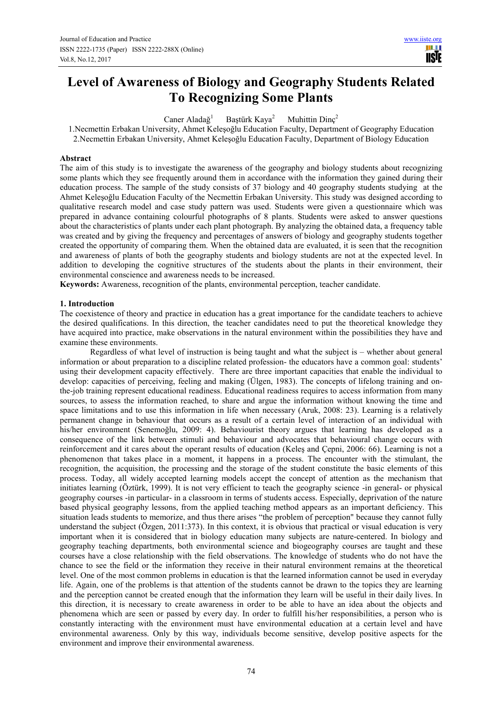# **Level of Awareness of Biology and Geography Students Related To Recognizing Some Plants**

Caner Aladağ<sup>1</sup> Baştürk Kaya<sup>2</sup> Muhittin Dinc<sup>2</sup>

1.Necmettin Erbakan University, Ahmet Keleşoğlu Education Faculty, Department of Geography Education 2.Necmettin Erbakan University, Ahmet Keleşoğlu Education Faculty, Department of Biology Education

#### **Abstract**

The aim of this study is to investigate the awareness of the geography and biology students about recognizing some plants which they see frequently around them in accordance with the information they gained during their education process. The sample of the study consists of 37 biology and 40 geography students studying at the Ahmet Keleşoğlu Education Faculty of the Necmettin Erbakan University. This study was designed according to qualitative research model and case study pattern was used. Students were given a questionnaire which was prepared in advance containing colourful photographs of 8 plants. Students were asked to answer questions about the characteristics of plants under each plant photograph. By analyzing the obtained data, a frequency table was created and by giving the frequency and percentages of answers of biology and geography students together created the opportunity of comparing them. When the obtained data are evaluated, it is seen that the recognition and awareness of plants of both the geography students and biology students are not at the expected level. In addition to developing the cognitive structures of the students about the plants in their environment, their environmental conscience and awareness needs to be increased.

**Keywords:** Awareness, recognition of the plants, environmental perception, teacher candidate.

#### **1. Introduction**

The coexistence of theory and practice in education has a great importance for the candidate teachers to achieve the desired qualifications. In this direction, the teacher candidates need to put the theoretical knowledge they have acquired into practice, make observations in the natural environment within the possibilities they have and examine these environments.

Regardless of what level of instruction is being taught and what the subject is – whether about general information or about preparation to a discipline related profession- the educators have a common goal: students' using their development capacity effectively. There are three important capacities that enable the individual to develop: capacities of perceiving, feeling and making (Ülgen, 1983). The concepts of lifelong training and onthe-job training represent educational readiness. Educational readiness requires to access information from many sources, to assess the information reached, to share and argue the information without knowing the time and space limitations and to use this information in life when necessary (Aruk, 2008: 23). Learning is a relatively permanent change in behaviour that occurs as a result of a certain level of interaction of an individual with his/her environment (Senemoğlu, 2009: 4). Behaviourist theory argues that learning has developed as a consequence of the link between stimuli and behaviour and advocates that behavioural change occurs with reinforcement and it cares about the operant results of education (Keleş and Çepni, 2006: 66). Learning is not a phenomenon that takes place in a moment, it happens in a process. The encounter with the stimulant, the recognition, the acquisition, the processing and the storage of the student constitute the basic elements of this process. Today, all widely accepted learning models accept the concept of attention as the mechanism that initiates learning (Öztürk, 1999). It is not very efficient to teach the geography science -in general- or physical geography courses -in particular- in a classroom in terms of students access. Especially, deprivation of the nature based physical geography lessons, from the applied teaching method appears as an important deficiency. This situation leads students to memorize, and thus there arises "the problem of perception" because they cannot fully understand the subject (Özgen, 2011:373). In this context, it is obvious that practical or visual education is very important when it is considered that in biology education many subjects are nature-centered. In biology and geography teaching departments, both environmental science and biogeography courses are taught and these courses have a close relationship with the field observations. The knowledge of students who do not have the chance to see the field or the information they receive in their natural environment remains at the theoretical level. One of the most common problems in education is that the learned information cannot be used in everyday life. Again, one of the problems is that attention of the students cannot be drawn to the topics they are learning and the perception cannot be created enough that the information they learn will be useful in their daily lives. In this direction, it is necessary to create awareness in order to be able to have an idea about the objects and phenomena which are seen or passed by every day. In order to fulfill his/her responsibilities, a person who is constantly interacting with the environment must have environmental education at a certain level and have environmental awareness. Only by this way, individuals become sensitive, develop positive aspects for the environment and improve their environmental awareness.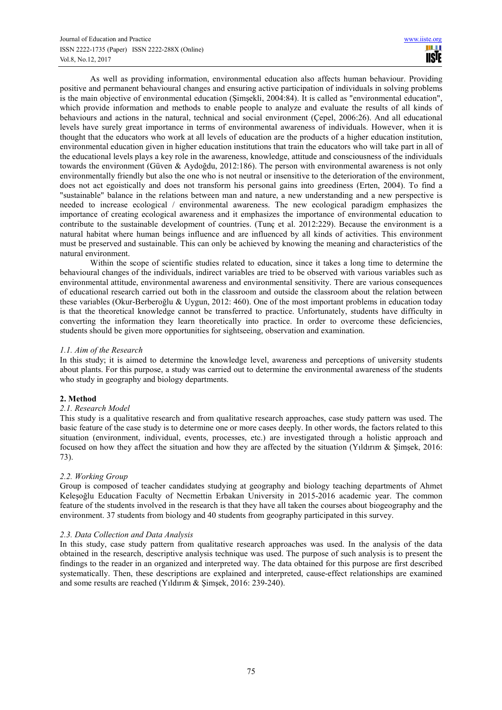As well as providing information, environmental education also affects human behaviour. Providing positive and permanent behavioural changes and ensuring active participation of individuals in solving problems is the main objective of environmental education (Şimşekli, 2004:84). It is called as "environmental education", which provide information and methods to enable people to analyze and evaluate the results of all kinds of behaviours and actions in the natural, technical and social environment (Çepel, 2006:26). And all educational levels have surely great importance in terms of environmental awareness of individuals. However, when it is thought that the educators who work at all levels of education are the products of a higher education institution, environmental education given in higher education institutions that train the educators who will take part in all of the educational levels plays a key role in the awareness, knowledge, attitude and consciousness of the individuals towards the environment (Güven & Aydoğdu, 2012:186). The person with environmental awareness is not only environmentally friendly but also the one who is not neutral or insensitive to the deterioration of the environment, does not act egoistically and does not transform his personal gains into greediness (Erten, 2004). To find a "sustainable" balance in the relations between man and nature, a new understanding and a new perspective is needed to increase ecological / environmental awareness. The new ecological paradigm emphasizes the importance of creating ecological awareness and it emphasizes the importance of environmental education to contribute to the sustainable development of countries. (Tunç et al. 2012:229). Because the environment is a natural habitat where human beings influence and are influenced by all kinds of activities. This environment must be preserved and sustainable. This can only be achieved by knowing the meaning and characteristics of the natural environment.

Within the scope of scientific studies related to education, since it takes a long time to determine the behavioural changes of the individuals, indirect variables are tried to be observed with various variables such as environmental attitude, environmental awareness and environmental sensitivity. There are various consequences of educational research carried out both in the classroom and outside the classroom about the relation between these variables (Okur-Berberoğlu & Uygun, 2012: 460). One of the most important problems in education today is that the theoretical knowledge cannot be transferred to practice. Unfortunately, students have difficulty in converting the information they learn theoretically into practice. In order to overcome these deficiencies, students should be given more opportunities for sightseeing, observation and examination.

## *1.1. Aim of the Research*

In this study; it is aimed to determine the knowledge level, awareness and perceptions of university students about plants. For this purpose, a study was carried out to determine the environmental awareness of the students who study in geography and biology departments.

### **2. Method**

### *2.1. Research Model*

This study is a qualitative research and from qualitative research approaches, case study pattern was used. The basic feature of the case study is to determine one or more cases deeply. In other words, the factors related to this situation (environment, individual, events, processes, etc.) are investigated through a holistic approach and focused on how they affect the situation and how they are affected by the situation (Yıldırım & Şimşek, 2016: 73).

### *2.2. Working Group*

Group is composed of teacher candidates studying at geography and biology teaching departments of Ahmet Keleşoğlu Education Faculty of Necmettin Erbakan University in 2015-2016 academic year. The common feature of the students involved in the research is that they have all taken the courses about biogeography and the environment. 37 students from biology and 40 students from geography participated in this survey.

### *2.3. Data Collection and Data Analysis*

In this study, case study pattern from qualitative research approaches was used. In the analysis of the data obtained in the research, descriptive analysis technique was used. The purpose of such analysis is to present the findings to the reader in an organized and interpreted way. The data obtained for this purpose are first described systematically. Then, these descriptions are explained and interpreted, cause-effect relationships are examined and some results are reached (Yıldırım & Şimşek, 2016: 239-240).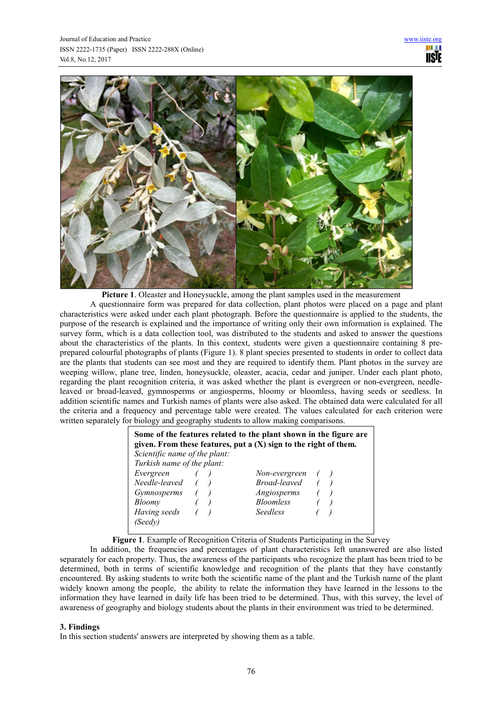

**Picture 1**. Oleaster and Honeysuckle, among the plant samples used in the measurement

A questionnaire form was prepared for data collection, plant photos were placed on a page and plant characteristics were asked under each plant photograph. Before the questionnaire is applied to the students, the purpose of the research is explained and the importance of writing only their own information is explained. The survey form, which is a data collection tool, was distributed to the students and asked to answer the questions about the characteristics of the plants. In this context, students were given a questionnaire containing 8 preprepared colourful photographs of plants (Figure 1). 8 plant species presented to students in order to collect data are the plants that students can see most and they are required to identify them. Plant photos in the survey are weeping willow, plane tree, linden, honeysuckle, oleaster, acacia, cedar and juniper. Under each plant photo, regarding the plant recognition criteria, it was asked whether the plant is evergreen or non-evergreen, needleleaved or broad-leaved, gymnosperms or angiosperms, bloomy or bloomless, having seeds or seedless. In addition scientific names and Turkish names of plants were also asked. The obtained data were calculated for all the criteria and a frequency and percentage table were created. The values calculated for each criterion were written separately for biology and geography students to allow making comparisons.

| Scientific name of the plant: | Some of the features related to the plant shown in the figure are<br>given. From these features, put a $(X)$ sign to the right of them. |  |
|-------------------------------|-----------------------------------------------------------------------------------------------------------------------------------------|--|
| Turkish name of the plant:    |                                                                                                                                         |  |
| Evergreen                     | Non-evergreen                                                                                                                           |  |
| Needle-leaved                 | Broad-leaved                                                                                                                            |  |
| Gymnosperms                   | Angiosperms                                                                                                                             |  |
| Bloomy                        | <b>Bloomless</b>                                                                                                                        |  |
| Having seeds                  | Seedless                                                                                                                                |  |
| (Seedv)                       |                                                                                                                                         |  |
|                               |                                                                                                                                         |  |

**Figure 1**. Example of Recognition Criteria of Students Participating in the Survey

In addition, the frequencies and percentages of plant characteristics left unanswered are also listed separately for each property. Thus, the awareness of the participants who recognize the plant has been tried to be determined, both in terms of scientific knowledge and recognition of the plants that they have constantly encountered. By asking students to write both the scientific name of the plant and the Turkish name of the plant widely known among the people, the ability to relate the information they have learned in the lessons to the information they have learned in daily life has been tried to be determined. Thus, with this survey, the level of awareness of geography and biology students about the plants in their environment was tried to be determined.

### **3. Findings**

In this section students' answers are interpreted by showing them as a table.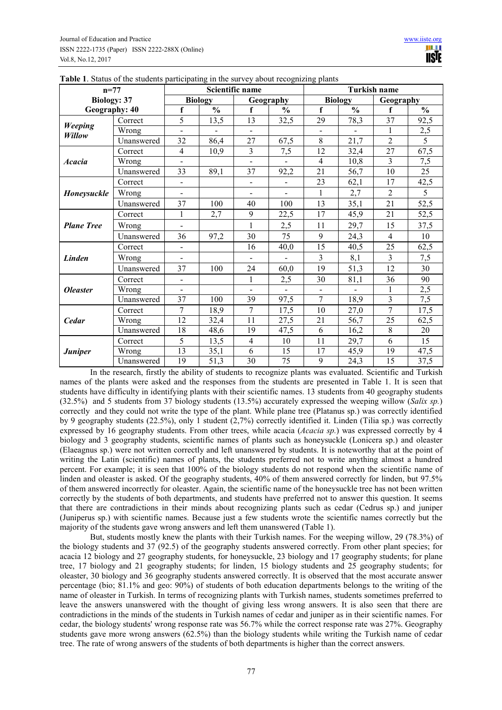| $n=77$                 |            |                |                | Scientific name |                | <u>or</u><br><b>Turkish name</b> |                |                         |                 |  |  |  |
|------------------------|------------|----------------|----------------|-----------------|----------------|----------------------------------|----------------|-------------------------|-----------------|--|--|--|
| <b>Biology: 37</b>     |            |                | <b>Biology</b> |                 | Geography      |                                  | <b>Biology</b> | Geography               |                 |  |  |  |
| Geography: 40          |            | f              | $\frac{0}{0}$  | f               | $\frac{0}{0}$  | f                                | $\frac{0}{0}$  | f                       | $\frac{0}{0}$   |  |  |  |
|                        | Correct    | 5              | 13,5           | 13              | 32,5           | 29                               | 78,3           | 37                      | 92,5            |  |  |  |
| Weeping<br>Willow      | Wrong      |                |                | $\overline{a}$  |                |                                  | $\mathbf{r}$   | 1                       | 2,5             |  |  |  |
|                        | Unanswered | 32             | 86,4           | 27              | 67,5           | 8                                | 21,7           | $\overline{2}$          | $\overline{5}$  |  |  |  |
|                        | Correct    | $\overline{4}$ | 10,9           | $\overline{3}$  | 7,5            | 12                               | 32,4           | 27                      | 67,5            |  |  |  |
| <b>Acacia</b>          | Wrong      |                |                | $\overline{a}$  |                | $\overline{4}$                   | 10,8           | $\overline{\mathbf{3}}$ | 7,5             |  |  |  |
|                        | Unanswered | 33             | 89,1           | 37              | 92,2           | 21                               | 56,7           | 10                      | $\overline{25}$ |  |  |  |
|                        | Correct    | $\blacksquare$ |                | $\blacksquare$  | $\blacksquare$ | 23                               | 62,1           | 17                      | 42,5            |  |  |  |
| <b>Honeysuckle</b>     | Wrong      |                |                |                 |                | 1                                | 2,7            | $\overline{2}$          | 5               |  |  |  |
|                        | Unanswered | 37             | 100            | 40              | 100            | 13                               | 35,1           | 21                      | 52,5            |  |  |  |
|                        | Correct    | $\mathbf{1}$   | 2,7            | 9               | 22,5           | 17                               | 45,9           | 21                      | 52,5            |  |  |  |
| <b>Plane Tree</b>      | Wrong      |                |                | $\mathbf{1}$    | 2,5            | 11                               | 29,7           | 15                      | 37,5            |  |  |  |
|                        | Unanswered | 36             | 97,2           | 30              | 75             | 9                                | 24,3           | $\overline{4}$          | 10              |  |  |  |
|                        | Correct    | $\blacksquare$ |                | 16              | 40,0           | 15                               | 40,5           | 25                      | 62,5            |  |  |  |
| <b>Linden</b>          | Wrong      | $\blacksquare$ |                | $\blacksquare$  | $\frac{1}{2}$  | $\overline{3}$                   | 8,1            | 3                       | 7,5             |  |  |  |
|                        | Unanswered | 37             | 100            | 24              | 60,0           | 19                               | 51,3           | 12                      | 30              |  |  |  |
|                        | Correct    |                |                | $\mathbf{1}$    | 2,5            | 30                               | 81,1           | 36                      | 90              |  |  |  |
| <i><b>Oleaster</b></i> | Wrong      | $\overline{a}$ |                | $\overline{a}$  | $\mathbf{r}$   | $\blacksquare$                   | $\mathbf{r}$   | 1                       | 2,5             |  |  |  |
|                        | Unanswered | 37             | 100            | 39              | 97,5           | $\overline{7}$                   | 18,9           | 3                       | 7,5             |  |  |  |
|                        | Correct    | $\overline{7}$ | 18,9           | $\overline{7}$  | 17,5           | 10                               | 27,0           | $\overline{7}$          | 17,5            |  |  |  |
| <b>Cedar</b>           | Wrong      | 12             | 32,4           | 11              | 27,5           | 21                               | 56,7           | 25                      | 62,5            |  |  |  |
|                        | Unanswered | 18             | 48,6           | 19              | 47,5           | 6                                | 16,2           | 8                       | 20              |  |  |  |
|                        | Correct    | 5              | 13,5           | $\overline{4}$  | 10             | 11                               | 29,7           | 6                       | 15              |  |  |  |
| <b>Juniper</b>         | Wrong      | 13             | 35,1           | 6               | 15             | 17                               | 45,9           | 19                      | 47,5            |  |  |  |
|                        | Unanswered | 19             | 51,3           | $\overline{30}$ | 75             | 9                                | 24,3           | 15                      | 37,5            |  |  |  |

|  |  |  |  | Table 1. Status of the students participating in the survey about recognizing plants |  |
|--|--|--|--|--------------------------------------------------------------------------------------|--|
|  |  |  |  |                                                                                      |  |

In the research, firstly the ability of students to recognize plants was evaluated. Scientific and Turkish names of the plants were asked and the responses from the students are presented in Table 1. It is seen that students have difficulty in identifying plants with their scientific names. 13 students from 40 geography students (32.5%) and 5 students from 37 biology students (13.5%) accurately expressed the weeping willow (*Salix sp.*) correctly and they could not write the type of the plant. While plane tree (Platanus sp.) was correctly identified by 9 geography students (22.5%), only 1 student (2,7%) correctly identified it. Linden (Tilia sp.) was correctly expressed by 16 geography students. From other trees, while acacia (*Acacia sp.*) was expressed correctly by 4 biology and 3 geography students, scientific names of plants such as honeysuckle (Lonicera sp.) and oleaster (Elaeagnus sp.) were not written correctly and left unanswered by students. It is noteworthy that at the point of writing the Latin (scientific) names of plants, the students preferred not to write anything almost a hundred percent. For example; it is seen that 100% of the biology students do not respond when the scientific name of linden and oleaster is asked. Of the geography students, 40% of them answered correctly for linden, but 97.5% of them answered incorrectly for oleaster. Again, the scientific name of the honeysuckle tree has not been written correctly by the students of both departments, and students have preferred not to answer this question. It seems that there are contradictions in their minds about recognizing plants such as cedar (Cedrus sp.) and juniper (Juniperus sp.) with scientific names. Because just a few students wrote the scientific names correctly but the majority of the students gave wrong answers and left them unanswered (Table 1).

But, students mostly knew the plants with their Turkish names. For the weeping willow, 29 (78.3%) of the biology students and 37 (92.5) of the geography students answered correctly. From other plant species; for acacia 12 biology and 27 geography students, for honeysuckle, 23 biology and 17 geography students; for plane tree, 17 biology and 21 geography students; for linden, 15 biology students and 25 geography students; for oleaster, 30 biology and 36 geography students answered correctly. It is observed that the most accurate answer percentage (bio; 81.1% and geo: 90%) of students of both education departments belongs to the writing of the name of oleaster in Turkish. In terms of recognizing plants with Turkish names, students sometimes preferred to leave the answers unanswered with the thought of giving less wrong answers. It is also seen that there are contradictions in the minds of the students in Turkish names of cedar and juniper as in their scientific names. For cedar, the biology students' wrong response rate was 56.7% while the correct response rate was 27%. Geography students gave more wrong answers (62.5%) than the biology students while writing the Turkish name of cedar tree. The rate of wrong answers of the students of both departments is higher than the correct answers.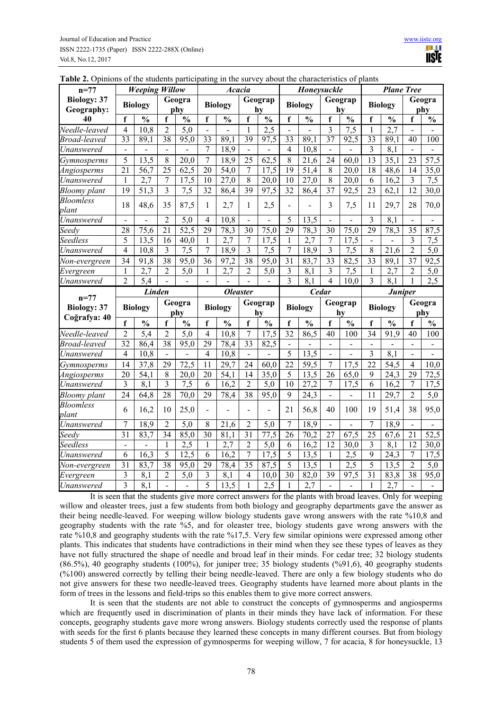| $n = 77$                                         |                      | <b>Weeping Willow</b> |                          | paravipaan             |                | Acacia           |                      | 1000             |                      | Honeysuckle            |                 | ,,,,,,,,,            |                 | <b>Plane Tree</b>      |                 |                      |
|--------------------------------------------------|----------------------|-----------------------|--------------------------|------------------------|----------------|------------------|----------------------|------------------|----------------------|------------------------|-----------------|----------------------|-----------------|------------------------|-----------------|----------------------|
| <b>Biology: 37</b><br>Geography:                 |                      | <b>Biology</b>        |                          | Geogra<br>phy          |                | <b>Biology</b>   |                      | Geograp<br>hv    |                      | <b>Biology</b>         |                 | Geograp<br>hv        |                 | <b>Biology</b>         | Geogra<br>phy   |                      |
| 40                                               | f                    | $\frac{0}{0}$         | f                        | $\frac{0}{0}$          | f              | $\frac{0}{0}$    | f                    | $\frac{0}{0}$    | f                    | $\frac{0}{0}$          | f               | $\frac{0}{0}$        | f               | $\frac{0}{0}$          | f               | $\frac{0}{0}$        |
| Needle-leaved                                    | 4                    | 10,8                  | $\overline{2}$           | $\overline{5,0}$       |                |                  | 1                    | $\overline{2,5}$ |                      |                        | 3               | $\overline{7,5}$     | $\mathbf{1}$    | $\overline{2,7}$       |                 |                      |
| <b>Broad-leaved</b>                              | 33                   | 89,1                  | 38                       | 95,0                   | 33             | 89,1             | $\overline{39}$      | 97,5             | 33                   | 89,1                   | 37              | 92,5                 | 33              | $\overline{89,1}$      | 40              | 100                  |
| Unanswered                                       | $\blacksquare$       | $\overline{a}$        | $\overline{\phantom{0}}$ |                        | 7              | 18,9             | $\blacksquare$       | $\overline{a}$   | $\overline{4}$       | 10,8                   | $\blacksquare$  | $\overline{a}$       | 3               | 8,1                    |                 |                      |
| Gymnosperms                                      | 5                    | 13,5                  | $8\,$                    | 20,0                   | 7              | 18,9             | 25                   | 62,5             | 8                    | 21,6                   | 24              | 60,0                 | 13              | 35,1                   | 23              | 57,5                 |
| Angiosperms                                      | 21                   | 56,7                  | 25                       | 62,5                   | 20             | 54,0             | 7                    | 17,5             | 19                   | 51,4                   | 8               | 20,0                 | 18              | 48,6                   | 14              | 35,0                 |
| Unanswered                                       | 1                    | 2,7                   | 7                        | 17,5                   | 10             | 27,0             | 8                    | 20,0             | 10                   | 27,0                   | 8               | 20,0                 | 6               | 16,2                   | 3               | 7,5                  |
| <b>Bloomy</b> plant                              | $\overline{19}$      | 51,3                  | 3                        | 7,5                    | 32             | 86,4             | $\overline{39}$      | 97,5             | 32                   | 86,4                   | $\overline{37}$ | 92,5                 | $\overline{23}$ | 62,1                   | $\overline{12}$ | 30,0                 |
| <b>Bloomless</b><br>plant                        | 18                   | 48,6                  | 35                       | 87,5                   | 1              | 2,7              | 1                    | 2,5              |                      |                        | 3               | 7,5                  | 11              | 29,7                   | 28              | 70,0                 |
| Unanswered                                       |                      |                       | 2                        | 5,0                    | 4              | 10,8             |                      |                  | 5                    | 13,5                   |                 |                      | 3               | 8,1                    |                 |                      |
| Seedy                                            | 28                   | 75,6                  | 21                       | 52,5                   | 29             | 78,3             | 30                   | 75,0             | 29                   | 78,3                   | 30              | 75,0                 | 29              | 78,3                   | 35              | 87,5                 |
| Seedless                                         | 5                    | 13,5                  | 16                       | 40,0                   | 1              | 2,7              | 7                    | 17,5             | 1                    | 2,7                    | 7               | 17,5                 |                 |                        | 3               | 7,5                  |
| Unanswered                                       | $\overline{4}$       | 10,8                  | 3                        | 7,5                    | 7              | 18,9             | 3                    | 7,5              | 7                    | 18,9                   | 3               | 7,5                  | 8               | 21,6                   | $\overline{2}$  | $\overline{5,0}$     |
| Non-evergreen                                    | 34                   | 91,8                  | $\overline{38}$          | 95,0                   | 36             | 97,2             | $\overline{38}$      | 95,0             | 31                   | 83,7                   | $\overline{33}$ | 82,5                 | $\overline{33}$ | 89,1                   | 37              | 92,5                 |
| Evergreen                                        | 1                    | 2,7                   | $\overline{2}$           | 5,0                    | 1              | 2.7              | $\overline{2}$       | 5,0              | 3                    | 8,1                    | 3               | $7,\overline{5}$     | $\mathbf{1}$    | 2,7                    | $\overline{2}$  | 5,0                  |
| Unanswered                                       | $\overline{c}$       | 5,4                   | $\overline{a}$           | $\overline{a}$         | ÷.             |                  |                      |                  | 3                    | 8.1                    | $\overline{4}$  | 10,0                 | 3               | 8,1                    | 1               | 2.5                  |
|                                                  | <b>Linden</b>        |                       |                          |                        |                |                  |                      |                  |                      |                        |                 |                      |                 |                        |                 |                      |
|                                                  |                      |                       |                          |                        |                | <b>Oleaster</b>  |                      |                  |                      | <b>Cedar</b>           |                 |                      |                 | <b>Juniper</b>         |                 |                      |
| $n = 77$<br><b>Biology: 37</b>                   |                      | <b>Biology</b>        |                          | Geogra                 |                | <b>Biology</b>   |                      | Geograp          |                      | <b>Biology</b>         |                 | Geograp              |                 | <b>Biology</b>         |                 | Geogra               |
| Coğrafya: 40                                     |                      |                       | f                        | phy                    | f              |                  | f                    | hv               | f                    |                        | f               | hv                   | f               |                        | f               | phy                  |
|                                                  | f                    | $\frac{0}{0}$         | 2                        | $\frac{0}{0}$          | 4              | $\frac{0}{0}$    | 7                    | $\frac{0}{0}$    |                      | $\frac{0}{0}$          | 40              | $\frac{0}{0}$<br>100 | 34              | $\frac{0}{0}$          | 40              | $\frac{0}{0}$<br>100 |
| Needle-leaved                                    | $\overline{2}$<br>32 | 5.4                   | 38                       | 5,0                    | 29             | 10,8             |                      | 17,5             | 32<br>$\blacksquare$ | 86,5<br>$\blacksquare$ | $\blacksquare$  | $\overline{a}$       | $\blacksquare$  | 91.9<br>$\blacksquare$ |                 |                      |
| Broad-leaved                                     | $\overline{4}$       | 86,4                  | $\blacksquare$           | 95,0<br>$\overline{a}$ | $\overline{4}$ | 78,4             | 33<br>$\blacksquare$ | 82,5             | 5                    |                        |                 |                      | 3               |                        |                 |                      |
| Unanswered                                       | 14                   | 10,8                  | 29                       |                        | 11             | 10,8             | 24                   |                  | $\overline{22}$      | 13,5                   | 7               |                      | 22              | 8,1                    | 4               | 10,0                 |
| Gymnosperms                                      | 20                   | 37,8                  | 8                        | 72,5                   | 20             | 29,7             | 14                   | 60,0             | 5                    | 59,5                   | 26              | 17,5<br>65,0         | 9               | 54,5                   | 29              |                      |
| Angiosperms<br>Unanswered                        | 3                    | 54,1<br>8,1           | $\overline{\mathbf{3}}$  | 20,0<br>7,5            | 6              | 54,1<br>16,2     | $\overline{2}$       | 35,0<br>5,0      | 10                   | 13,5<br>27,2           | $\overline{7}$  | 17,5                 | 6               | 24,3<br>16,2           | $\overline{7}$  | 72,5<br>17,5         |
|                                                  | 24                   | 64,8                  | 28                       | 70,0                   | 29             | 78,4             | 38                   | 95,0             | 9                    | 24,3                   | $\blacksquare$  |                      | 11              | 29,7                   | $\overline{2}$  | 5,0                  |
| <b>Bloomy</b> plant<br><b>Bloomless</b><br>plant | 6                    | 16,2                  | 10                       | 25,0                   |                |                  |                      |                  | 21                   | 56,8                   | 40              | 100                  | 19              | 51,4                   | 38              | 95,0                 |
| Unanswered                                       | 7                    | 18,9                  | 2                        | 5,0                    | 8              | 21,6             | 2                    | 5,0              | $\tau$               | 18,9                   |                 |                      | 7               | 18,9                   |                 |                      |
| Seedy                                            | 31                   | 83,7                  | 34                       | 85,0                   | 30             | 81,1             | 31                   | 77,5             | 26                   | 70,2                   | 27              | 67,5                 | 25              | 67,6                   | 21              | 52,5                 |
| Seedless                                         | $\overline{a}$       |                       | 1                        | 2,5                    | 1              | $\overline{2,7}$ | $\overline{2}$       | 5,0              | 6                    | 16,2                   | 12              | 30,0                 | $\overline{3}$  | 8,1                    | 12              | 30,0                 |
| Unanswered                                       | 6                    | 16,3                  | 5                        | $\overline{12.5}$      | 6              | 16,2             | 7                    | 17,5             | 5                    | 13,5                   | 1               | $\overline{2,5}$     | 9               | 24,3                   | 7               | 17,5                 |
|                                                  | 31                   | 83,7                  | 38                       | 95,0                   | 29             | 78,4             | 35                   | 87,5             | 5                    | 13,5                   | 1               | 2,5                  | 5               | 13,5                   | $\overline{c}$  | 5,0                  |
| Non-evergreen<br>Evergreen                       | 3                    | 8,1                   | $\overline{2}$           | 5,0                    | 3              | 8,1              | 4                    | 10,0             | 30                   | 82,0                   | 39              | 97,5                 | 31              | 83,8                   | 38              | 95,0                 |

**Table 2.** Opinions of the students participating in the survey about the characteristics of plants

It is seen that the students give more correct answers for the plants with broad leaves. Only for weeping willow and oleaster trees, just a few students from both biology and geography departments gave the answer as their being needle-leaved. For weeping willow biology students gave wrong answers with the rate %10,8 and geography students with the rate %5, and for oleaster tree, biology students gave wrong answers with the rate %10,8 and geography students with the rate %17,5. Very few similar opinions were expressed among other plants. This indicates that students have contradictions in their mind when they see these types of leaves as they have not fully structured the shape of needle and broad leaf in their minds. For cedar tree; 32 biology students (86.5%), 40 geography students (100%), for juniper tree; 35 biology students (%91,6), 40 geography students (%100) answered correctly by telling their being needle-leaved. There are only a few biology students who do not give answers for these two needle-leaved trees. Geography students have learned more about plants in the form of trees in the lessons and field-trips so this enables them to give more correct answers.

It is seen that the students are not able to construct the concepts of gymnosperms and angiosperms which are frequently used in discrimination of plants in their minds they have lack of information. For these concepts, geography students gave more wrong answers. Biology students correctly used the response of plants with seeds for the first 6 plants because they learned these concepts in many different courses. But from biology students 5 of them used the expression of gymnosperms for weeping willow, 7 for acacia, 8 for honeysuckle, 13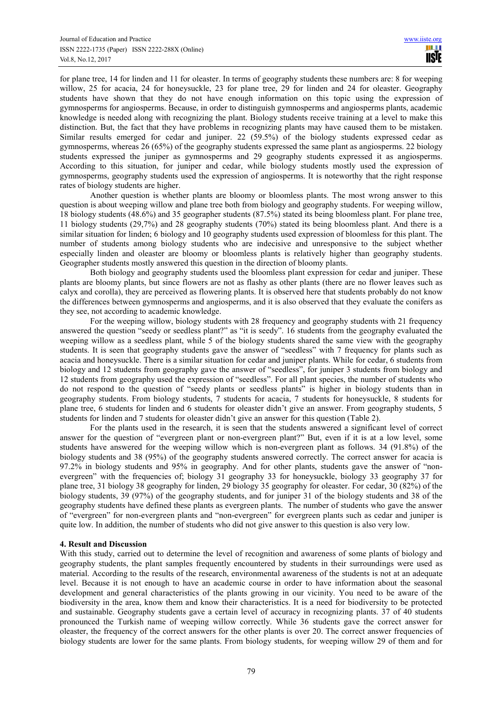for plane tree, 14 for linden and 11 for oleaster. In terms of geography students these numbers are: 8 for weeping willow, 25 for acacia, 24 for honeysuckle, 23 for plane tree, 29 for linden and 24 for oleaster. Geography students have shown that they do not have enough information on this topic using the expression of gymnosperms for angiosperms. Because, in order to distinguish gymnosperms and angiosperms plants, academic knowledge is needed along with recognizing the plant. Biology students receive training at a level to make this distinction. But, the fact that they have problems in recognizing plants may have caused them to be mistaken. Similar results emerged for cedar and juniper. 22 (59.5%) of the biology students expressed cedar as gymnosperms, whereas 26 (65%) of the geography students expressed the same plant as angiosperms. 22 biology students expressed the juniper as gymnosperms and 29 geography students expressed it as angiosperms. According to this situation, for juniper and cedar, while biology students mostly used the expression of gymnosperms, geography students used the expression of angiosperms. It is noteworthy that the right response rates of biology students are higher.

Another question is whether plants are bloomy or bloomless plants. The most wrong answer to this question is about weeping willow and plane tree both from biology and geography students. For weeping willow, 18 biology students (48.6%) and 35 geographer students (87.5%) stated its being bloomless plant. For plane tree, 11 biology students (29,7%) and 28 geography students (70%) stated its being bloomless plant. And there is a similar situation for linden; 6 biology and 10 geography students used expression of bloomless for this plant. The number of students among biology students who are indecisive and unresponsive to the subject whether especially linden and oleaster are bloomy or bloomless plants is relatively higher than geography students. Geographer students mostly answered this question in the direction of bloomy plants.

Both biology and geography students used the bloomless plant expression for cedar and juniper. These plants are bloomy plants, but since flowers are not as flashy as other plants (there are no flower leaves such as calyx and corolla), they are perceived as flowering plants. It is observed here that students probably do not know the differences between gymnosperms and angiosperms, and it is also observed that they evaluate the conifers as they see, not according to academic knowledge.

For the weeping willow, biology students with 28 frequency and geography students with 21 frequency answered the question "seedy or seedless plant?" as "it is seedy". 16 students from the geography evaluated the weeping willow as a seedless plant, while 5 of the biology students shared the same view with the geography students. It is seen that geography students gave the answer of "seedless" with 7 frequency for plants such as acacia and honeysuckle. There is a similar situation for cedar and juniper plants. While for cedar, 6 students from biology and 12 students from geography gave the answer of "seedless", for juniper 3 students from biology and 12 students from geography used the expression of "seedless". For all plant species, the number of students who do not respond to the question of "seedy plants or seedless plants" is higher in biology students than in geography students. From biology students, 7 students for acacia, 7 students for honeysuckle, 8 students for plane tree, 6 students for linden and 6 students for oleaster didn't give an answer. From geography students, 5 students for linden and 7 students for oleaster didn't give an answer for this question (Table 2).

For the plants used in the research, it is seen that the students answered a significant level of correct answer for the question of "evergreen plant or non-evergreen plant?" But, even if it is at a low level, some students have answered for the weeping willow which is non-evergreen plant as follows. 34 (91.8%) of the biology students and 38 (95%) of the geography students answered correctly. The correct answer for acacia is 97.2% in biology students and 95% in geography. And for other plants, students gave the answer of "nonevergreen" with the frequencies of; biology 31 geography 33 for honeysuckle, biology 33 geography 37 for plane tree, 31 biology 38 geography for linden, 29 biology 35 geography for oleaster. For cedar, 30 (82%) of the biology students, 39 (97%) of the geography students, and for juniper 31 of the biology students and 38 of the geography students have defined these plants as evergreen plants. The number of students who gave the answer of "evergreen" for non-evergreen plants and "non-evergreen" for evergreen plants such as cedar and juniper is quite low. In addition, the number of students who did not give answer to this question is also very low.

### **4. Result and Discussion**

With this study, carried out to determine the level of recognition and awareness of some plants of biology and geography students, the plant samples frequently encountered by students in their surroundings were used as material. According to the results of the research, environmental awareness of the students is not at an adequate level. Because it is not enough to have an academic course in order to have information about the seasonal development and general characteristics of the plants growing in our vicinity. You need to be aware of the biodiversity in the area, know them and know their characteristics. It is a need for biodiversity to be protected and sustainable. Geography students gave a certain level of accuracy in recognizing plants. 37 of 40 students pronounced the Turkish name of weeping willow correctly. While 36 students gave the correct answer for oleaster, the frequency of the correct answers for the other plants is over 20. The correct answer frequencies of biology students are lower for the same plants. From biology students, for weeping willow 29 of them and for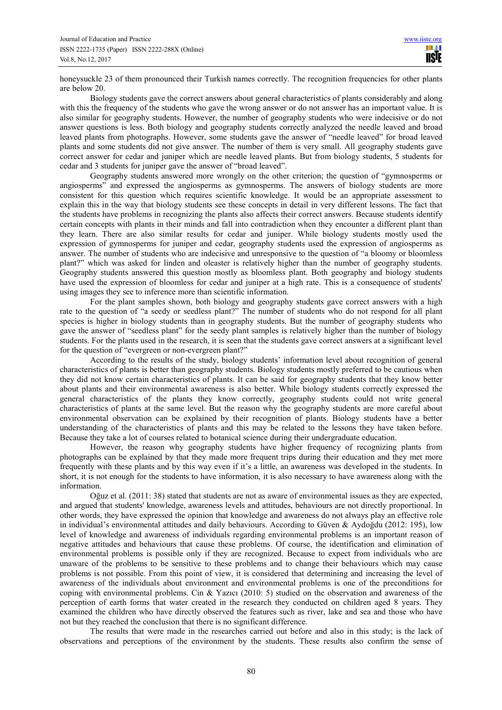honeysuckle 23 of them pronounced their Turkish names correctly. The recognition frequencies for other plants are below 20.

Biology students gave the correct answers about general characteristics of plants considerably and along with this the frequency of the students who gave the wrong answer or do not answer has an important value. It is also similar for geography students. However, the number of geography students who were indecisive or do not answer questions is less. Both biology and geography students correctly analyzed the needle leaved and broad leaved plants from photographs. However, some students gave the answer of "needle leaved" for broad leaved plants and some students did not give answer. The number of them is very small. All geography students gave correct answer for cedar and juniper which are needle leaved plants. But from biology students, 5 students for cedar and 3 students for juniper gave the answer of "broad leaved".

Geography students answered more wrongly on the other criterion; the question of "gymnosperms or angiosperms" and expressed the angiosperms as gymnosperms. The answers of biology students are more consistent for this question which requires scientific knowledge. It would be an appropriate assessment to explain this in the way that biology students see these concepts in detail in very different lessons. The fact that the students have problems in recognizing the plants also affects their correct answers. Because students identify certain concepts with plants in their minds and fall into contradiction when they encounter a different plant than they learn. There are also similar results for cedar and juniper. While biology students mostly used the expression of gymnosperms for juniper and cedar, geography students used the expression of angiosperms as answer. The number of students who are indecisive and unresponsive to the question of "a bloomy or bloomless plant?" which was asked for linden and oleaster is relatively higher than the number of geography students. Geography students answered this question mostly as bloomless plant. Both geography and biology students have used the expression of bloomless for cedar and juniper at a high rate. This is a consequence of students' using images they see to inference more than scientific information.

For the plant samples shown, both biology and geography students gave correct answers with a high rate to the question of "a seedy or seedless plant?" The number of students who do not respond for all plant species is higher in biology students than in geography students. But the number of geography students who gave the answer of "seedless plant" for the seedy plant samples is relatively higher than the number of biology students. For the plants used in the research, it is seen that the students gave correct answers at a significant level for the question of "evergreen or non-evergreen plant?"

According to the results of the study, biology students' information level about recognition of general characteristics of plants is better than geography students. Biology students mostly preferred to be cautious when they did not know certain characteristics of plants. It can be said for geography students that they know better about plants and their environmental awareness is also better. While biology students correctly expressed the general characteristics of the plants they know correctly, geography students could not write general characteristics of plants at the same level. But the reason why the geography students are more careful about environmental observation can be explained by their recognition of plants. Biology students have a better understanding of the characteristics of plants and this may be related to the lessons they have taken before. Because they take a lot of courses related to botanical science during their undergraduate education.

However, the reason why geography students have higher frequency of recognizing plants from photographs can be explained by that they made more frequent trips during their education and they met more frequently with these plants and by this way even if it's a little, an awareness was developed in the students. In short, it is not enough for the students to have information, it is also necessary to have awareness along with the information.

Oğuz et al. (2011: 38) stated that students are not as aware of environmental issues as they are expected, and argued that students' knowledge, awareness levels and attitudes, behaviours are not directly proportional. In other words, they have expressed the opinion that knowledge and awareness do not always play an effective role in individual's environmental attitudes and daily behaviours. According to Güven & Aydoğdu (2012: 195), low level of knowledge and awareness of individuals regarding environmental problems is an important reason of negative attitudes and behaviours that cause these problems. Of course, the identification and elimination of environmental problems is possible only if they are recognized. Because to expect from individuals who are unaware of the problems to be sensitive to these problems and to change their behaviours which may cause problems is not possible. From this point of view, it is considered that determining and increasing the level of awareness of the individuals about environment and environmental problems is one of the preconditions for coping with environmental problems. Cin & Yazıcı (2010: 5) studied on the observation and awareness of the perception of earth forms that water created in the research they conducted on children aged 8 years. They examined the children who have directly observed the features such as river, lake and sea and those who have not but they reached the conclusion that there is no significant difference.

The results that were made in the researches carried out before and also in this study; is the lack of observations and perceptions of the environment by the students. These results also confirm the sense of